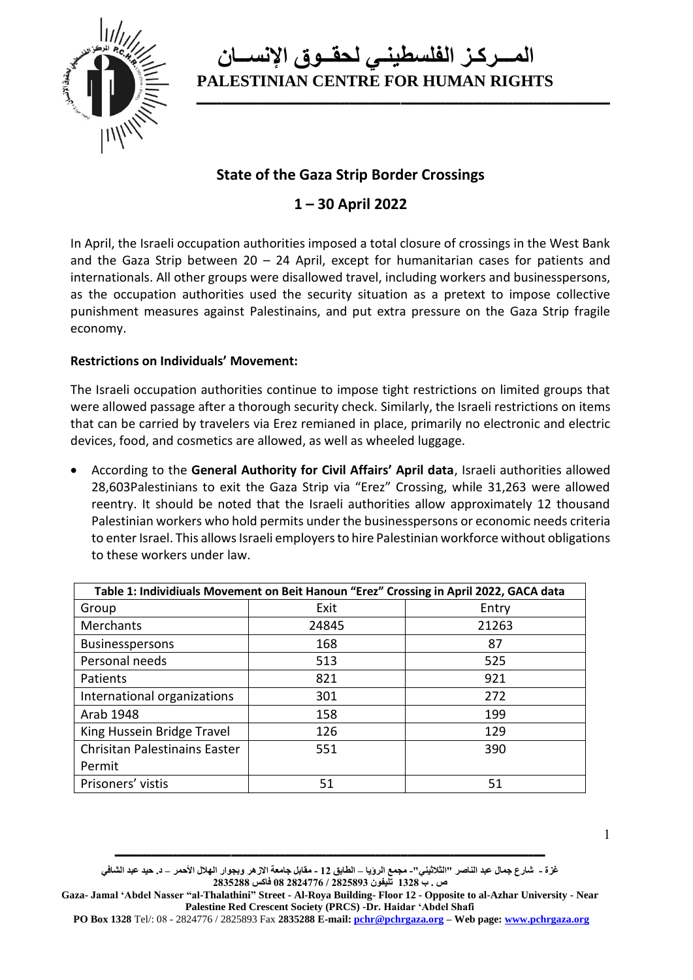

**ــــــــــــــــــــــــــــــــــــــــــــــــــــــــــــــــــــــــــــــــــــــــــــــــــــــــــــــــــــــــــــــــــــــــــــــــــــــــــــــــــــــــــــــــــ**

### **State of the Gaza Strip Border Crossings**

### **1 – 30 April 2022**

In April, the Israeli occupation authorities imposed a total closure of crossings in the West Bank and the Gaza Strip between  $20 - 24$  April, except for humanitarian cases for patients and internationals. All other groups were disallowed travel, including workers and businesspersons, as the occupation authorities used the security situation as a pretext to impose collective punishment measures against Palestinains, and put extra pressure on the Gaza Strip fragile economy.

#### **Restrictions on Individuals' Movement:**

The Israeli occupation authorities continue to impose tight restrictions on limited groups that were allowed passage after a thorough security check. Similarly, the Israeli restrictions on items that can be carried by travelers via Erez remianed in place, primarily no electronic and electric devices, food, and cosmetics are allowed, as well as wheeled luggage.

• According to the **General Authority for Civil Affairs' April data**, Israeli authorities allowed 28,603Palestinians to exit the Gaza Strip via "Erez" Crossing, while 31,263 were allowed reentry. It should be noted that the Israeli authorities allow approximately 12 thousand Palestinian workers who hold permits under the businesspersons or economic needs criteria to enter Israel. This allows Israeli employers to hire Palestinian workforce without obligations to these workers under law.

| Table 1: Individiuals Movement on Beit Hanoun "Erez" Crossing in April 2022, GACA data |       |       |  |
|----------------------------------------------------------------------------------------|-------|-------|--|
| Group                                                                                  | Exit  | Entry |  |
| Merchants                                                                              | 24845 | 21263 |  |
| <b>Businesspersons</b>                                                                 | 168   | 87    |  |
| Personal needs                                                                         | 513   | 525   |  |
| Patients                                                                               | 821   | 921   |  |
| International organizations                                                            | 301   | 272   |  |
| Arab 1948                                                                              | 158   | 199   |  |
| King Hussein Bridge Travel                                                             | 126   | 129   |  |
| Chrisitan Palestinains Easter                                                          | 551   | 390   |  |
| Permit                                                                                 |       |       |  |
| Prisoners' vistis                                                                      | 51    | 51    |  |

**غزة - شارع جمال عبد الناصر "الثالثيني"- مجمع الرؤيا – الطابق 12 - مقابل جامعة االزهر وبجوار الهالل األحمر – د. حيد عبد الشافي ص . ب 1328 تليفون 2825893 / 2824776 08 فاكس 2835288**

**Gaza- Jamal 'Abdel Nasser "al-Thalathini" Street - Al-Roya Building- Floor 12 - Opposite to al-Azhar University - Near Palestine Red Crescent Society (PRCS) -Dr. Haidar 'Abdel Shafi** 

**PO Box 1328** Tel/: 08 - 2824776 / 2825893 Fax **2835288 E-mail[: pchr@pchrgaza.org](mailto:pchr@pchrgaza.org) – Web page[: www.pchrgaza.org](http://www.pchrgaza.org/)**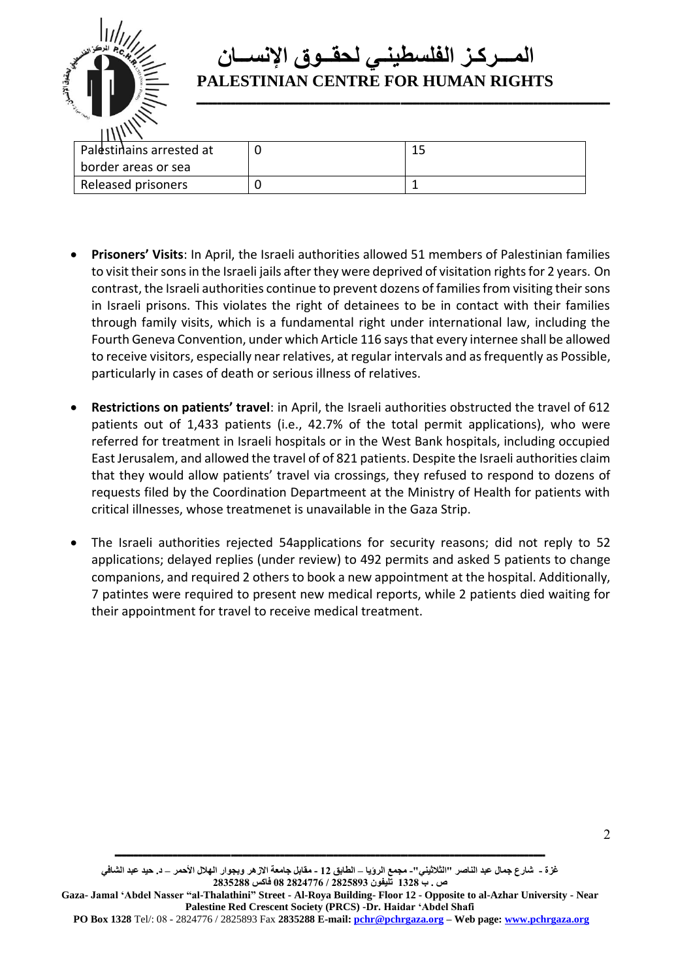

**ــــــــــــــــــــــــــــــــــــــــــــــــــــــــــــــــــــــــــــــــــــــــــــــــــــــــــــــــــــــــــــــــــــــــــــــــــــــــــــــــــــــــــــــــــ**

| Palestinains arrested at | ∸~ |
|--------------------------|----|
| border areas or sea      |    |
| Released prisoners       |    |

- **Prisoners' Visits**: In April, the Israeli authorities allowed 51 members of Palestinian families to visit their sons in the Israeli jails after they were deprived of visitation rights for 2 years. On contrast, the Israeli authorities continue to prevent dozens of families from visiting their sons in Israeli prisons. This violates the right of detainees to be in contact with their families through family visits, which is a fundamental right under international law, including the Fourth Geneva Convention, under which Article 116 says that every internee shall be allowed to receive visitors, especially near relatives, at regular intervals and as frequently as Possible, particularly in cases of death or serious illness of relatives.
- **Restrictions on patients' travel**: in April, the Israeli authorities obstructed the travel of 612 patients out of 1,433 patients (i.e., 42.7% of the total permit applications), who were referred for treatment in Israeli hospitals or in the West Bank hospitals, including occupied East Jerusalem, and allowed the travel of of 821 patients. Despite the Israeli authorities claim that they would allow patients' travel via crossings, they refused to respond to dozens of requests filed by the Coordination Departmeent at the Ministry of Health for patients with critical illnesses, whose treatmenet is unavailable in the Gaza Strip.
- The Israeli authorities rejected 54applications for security reasons; did not reply to 52 applications; delayed replies (under review) to 492 permits and asked 5 patients to change companions, and required 2 others to book a new appointment at the hospital. Additionally, 7 patintes were required to present new medical reports, while 2 patients died waiting for their appointment for travel to receive medical treatment.

 $\mathcal{L}$ 

**غزة - شارع جمال عبد الناصر "الثالثيني"- مجمع الرؤيا – الطابق 12 - مقابل جامعة االزهر وبجوار الهالل األحمر – د. حيد عبد الشافي ص . ب 1328 تليفون 2825893 / 2824776 08 فاكس 2835288**

**Gaza- Jamal 'Abdel Nasser "al-Thalathini" Street - Al-Roya Building- Floor 12 - Opposite to al-Azhar University - Near Palestine Red Crescent Society (PRCS) -Dr. Haidar 'Abdel Shafi** 

**PO Box 1328** Tel/: 08 - 2824776 / 2825893 Fax **2835288 E-mail[: pchr@pchrgaza.org](mailto:pchr@pchrgaza.org) – Web page[: www.pchrgaza.org](http://www.pchrgaza.org/)**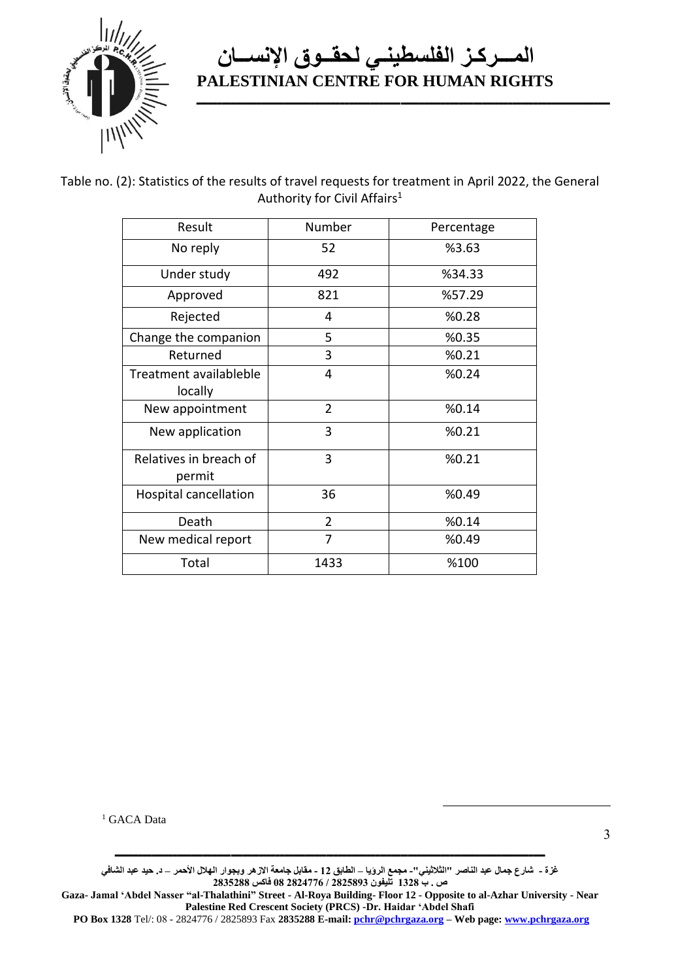

**ــــــــــــــــــــــــــــــــــــــــــــــــــــــــــــــــــــــــــــــــــــــــــــــــــــــــــــــــــــــــــــــــــــــــــــــــــــــــــــــــــــــــــــــــــ**

Table no. (2): Statistics of the results of travel requests for treatment in April 2022, the General Authority for Civil Affairs<sup>1</sup>

| Result                            | Number         | Percentage |
|-----------------------------------|----------------|------------|
| No reply                          | 52             | %3.63      |
| Under study                       | 492            | %34.33     |
| Approved                          | 821            | %57.29     |
| Rejected                          | 4              | %0.28      |
| Change the companion              | 5              | %0.35      |
| Returned                          | 3              | %0.21      |
| Treatment availableble<br>locally | 4              | %0.24      |
| New appointment                   | $\overline{2}$ | %0.14      |
| New application                   | 3              | %0.21      |
| Relatives in breach of<br>permit  | 3              | %0.21      |
| <b>Hospital cancellation</b>      | 36             | %0.49      |
| Death                             | $\overline{2}$ | %0.14      |
| New medical report                | 7              | %0.49      |
| Total                             | 1433           | %100       |

<sup>1</sup> GACA Data

**غزة - شارع جمال عبد الناصر "الثالثيني"- مجمع الرؤيا – الطابق 12 - مقابل جامعة االزهر وبجوار الهالل األحمر – د. حيد عبد الشافي ص . ب 1328 تليفون 2825893 / 2824776 08 فاكس 2835288**

**ـــــــــــــــــــــــــــــــــــــــــــــــــــــــــــــــــــــــــــــــــــــــــــــــــــــــــــــــــــــــــــــــــــــــــــــــــــــــــــــــــــــــــــــــــــــــــ**

**Gaza- Jamal 'Abdel Nasser "al-Thalathini" Street - Al-Roya Building- Floor 12 - Opposite to al-Azhar University - Near Palestine Red Crescent Society (PRCS) -Dr. Haidar 'Abdel Shafi** 

**PO Box 1328** Tel/: 08 - 2824776 / 2825893 Fax **2835288 E-mail[: pchr@pchrgaza.org](mailto:pchr@pchrgaza.org) – Web page[: www.pchrgaza.org](http://www.pchrgaza.org/)**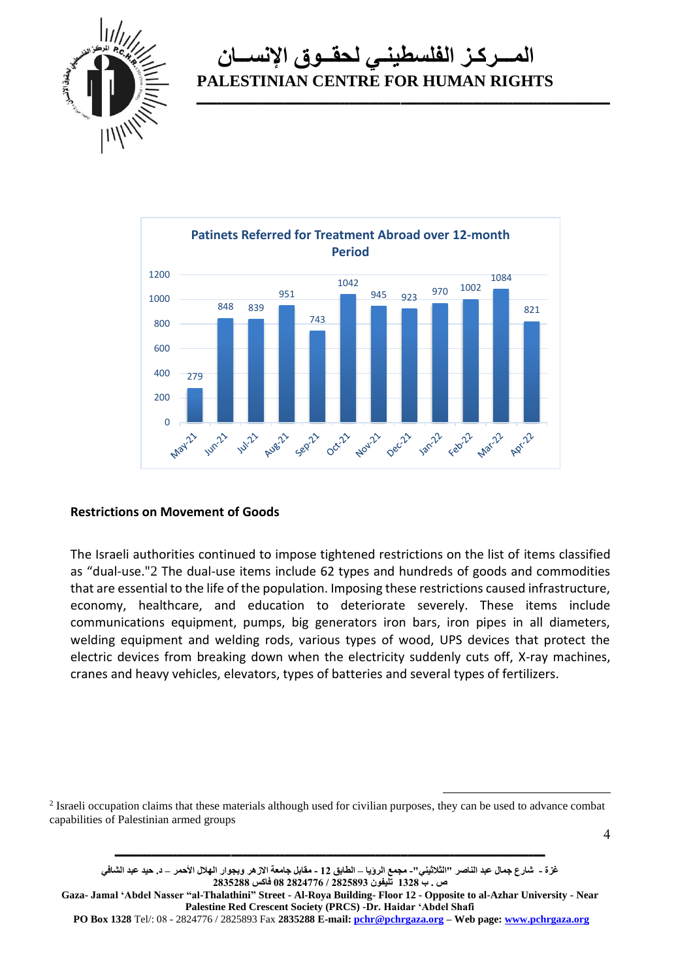

**ــــــــــــــــــــــــــــــــــــــــــــــــــــــــــــــــــــــــــــــــــــــــــــــــــــــــــــــــــــــــــــــــــــــــــــــــــــــــــــــــــــــــــــــــــ**



#### **Restrictions on Movement of Goods**

The Israeli authorities continued to impose tightened restrictions on the list of items classified as "dual-use."2 The dual-use items include 62 types and hundreds of goods and commodities that are essential to the life of the population. Imposing these restrictions caused infrastructure, economy, healthcare, and education to deteriorate severely. These items include communications equipment, pumps, big generators iron bars, iron pipes in all diameters, welding equipment and welding rods, various types of wood, UPS devices that protect the electric devices from breaking down when the electricity suddenly cuts off, X-ray machines, cranes and heavy vehicles, elevators, types of batteries and several types of fertilizers.

 $2$  Israeli occupation claims that these materials although used for civilian purposes, they can be used to advance combat capabilities of Palestinian armed groups

**ـــــــــــــــــــــــــــــــــــــــــــــــــــــــــــــــــــــــــــــــــــــــــــــــــــــــــــــــــــــــــــــــــــــــــــــــــــــــــــــــــــــــــــــــــــــــــ**

4

**غزة - شارع جمال عبد الناصر "الثالثيني"- مجمع الرؤيا – الطابق 12 - مقابل جامعة االزهر وبجوار الهالل األحمر – د. حيد عبد الشافي ص . ب 1328 تليفون 2825893 / 2824776 08 فاكس 2835288**

**Gaza- Jamal 'Abdel Nasser "al-Thalathini" Street - Al-Roya Building- Floor 12 - Opposite to al-Azhar University - Near Palestine Red Crescent Society (PRCS) -Dr. Haidar 'Abdel Shafi** 

**PO Box 1328** Tel/: 08 - 2824776 / 2825893 Fax **2835288 E-mail[: pchr@pchrgaza.org](mailto:pchr@pchrgaza.org) – Web page[: www.pchrgaza.org](http://www.pchrgaza.org/)**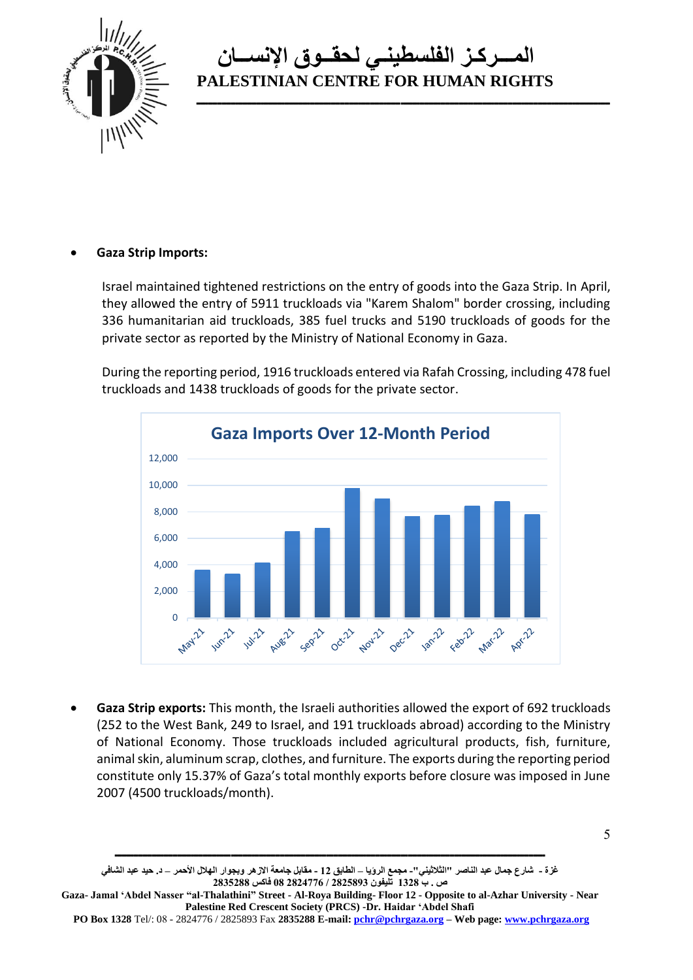

**ــــــــــــــــــــــــــــــــــــــــــــــــــــــــــــــــــــــــــــــــــــــــــــــــــــــــــــــــــــــــــــــــــــــــــــــــــــــــــــــــــــــــــــــــــ**

#### • **Gaza Strip Imports:**

Israel maintained tightened restrictions on the entry of goods into the Gaza Strip. In April, they allowed the entry of 5911 truckloads via "Karem Shalom" border crossing, including 336 humanitarian aid truckloads, 385 fuel trucks and 5190 truckloads of goods for the private sector as reported by the Ministry of National Economy in Gaza.

During the reporting period, 1916 truckloads entered via Rafah Crossing, including 478 fuel truckloads and 1438 truckloads of goods for the private sector.



• **Gaza Strip exports:** This month, the Israeli authorities allowed the export of 692 truckloads (252 to the West Bank, 249 to Israel, and 191 truckloads abroad) according to the Ministry of National Economy. Those truckloads included agricultural products, fish, furniture, animal skin, aluminum scrap, clothes, and furniture. The exports during the reporting period constitute only 15.37% of Gaza's total monthly exports before closure was imposed in June 2007 (4500 truckloads/month).

5

**غزة - شارع جمال عبد الناصر "الثالثيني"- مجمع الرؤيا – الطابق 12 - مقابل جامعة االزهر وبجوار الهالل األحمر – د. حيد عبد الشافي ص . ب 1328 تليفون 2825893 / 2824776 08 فاكس 2835288**

**Gaza- Jamal 'Abdel Nasser "al-Thalathini" Street - Al-Roya Building- Floor 12 - Opposite to al-Azhar University - Near Palestine Red Crescent Society (PRCS) -Dr. Haidar 'Abdel Shafi** 

**PO Box 1328** Tel/: 08 - 2824776 / 2825893 Fax **2835288 E-mail[: pchr@pchrgaza.org](mailto:pchr@pchrgaza.org) – Web page[: www.pchrgaza.org](http://www.pchrgaza.org/)**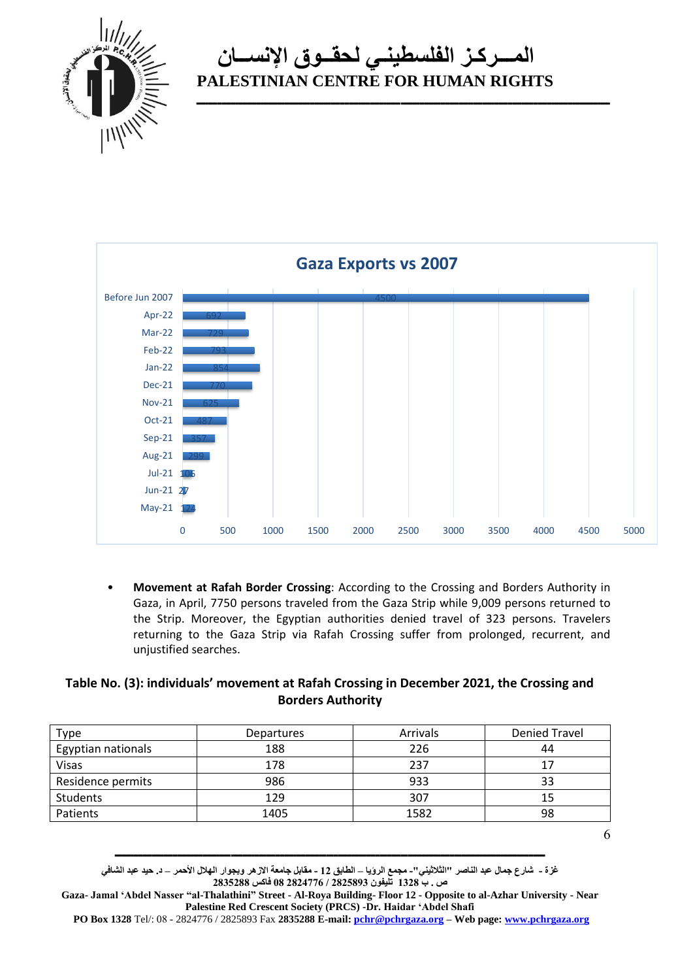

**ــــــــــــــــــــــــــــــــــــــــــــــــــــــــــــــــــــــــــــــــــــــــــــــــــــــــــــــــــــــــــــــــــــــــــــــــــــــــــــــــــــــــــــــــــ**



• **Movement at Rafah Border Crossing**: According to the Crossing and Borders Authority in Gaza, in April, 7750 persons traveled from the Gaza Strip while 9,009 persons returned to the Strip. Moreover, the Egyptian authorities denied travel of 323 persons. Travelers returning to the Gaza Strip via Rafah Crossing suffer from prolonged, recurrent, and unjustified searches.

#### **Table No. (3): individuals' movement at Rafah Crossing in December 2021, the Crossing and Borders Authority**

| Type               | <b>Departures</b> | Arrivals | <b>Denied Travel</b> |
|--------------------|-------------------|----------|----------------------|
| Egyptian nationals | 188               | 226      | 44                   |
| <b>Visas</b>       | 178               | 237      | 17                   |
| Residence permits  | 986               | 933      | 33                   |
| Students           | 129               | 307      | 15                   |
| Patients           | 1405              | 1582     | 98                   |

6

**غزة - شارع جمال عبد الناصر "الثالثيني"- مجمع الرؤيا – الطابق 12 - مقابل جامعة االزهر وبجوار الهالل األحمر – د. حيد عبد الشافي ص . ب 1328 تليفون 2825893 / 2824776 08 فاكس 2835288**

**Gaza- Jamal 'Abdel Nasser "al-Thalathini" Street - Al-Roya Building- Floor 12 - Opposite to al-Azhar University - Near Palestine Red Crescent Society (PRCS) -Dr. Haidar 'Abdel Shafi** 

**PO Box 1328** Tel/: 08 - 2824776 / 2825893 Fax **2835288 E-mail[: pchr@pchrgaza.org](mailto:pchr@pchrgaza.org) – Web page[: www.pchrgaza.org](http://www.pchrgaza.org/)**